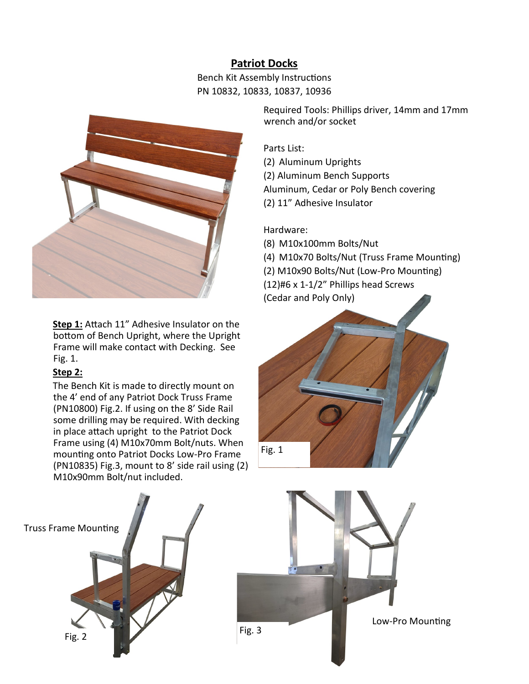# **Patriot Docks**

Bench Kit Assembly Instructions PN 10832, 10833, 10837, 10936



**Step 1:** Attach 11" Adhesive Insulator on the bottom of Bench Upright, where the Upright Frame will make contact with Decking. See Fig. 1.

## **Step 2:**

The Bench Kit is made to directly mount on the 4' end of any Patriot Dock Truss Frame (PN10800) Fig.2. If using on the 8' Side Rail some drilling may be required. With decking in place attach upright to the Patriot Dock Frame using (4) M10x70mm Bolt/nuts. When mounting onto Patriot Docks Low-Pro Frame (PN10835) Fig.3, mount to 8' side rail using (2) M10x90mm Bolt/nut included.



Required Tools: Phillips driver, 14mm and 17mm wrench and/or socket

Parts List:

- (2) Aluminum Uprights
- (2) Aluminum Bench Supports
- Aluminum, Cedar or Poly Bench covering
- (2) 11" Adhesive Insulator

Hardware:

- (8) M10x100mm Bolts/Nut
- (4) M10x70 Bolts/Nut (Truss Frame Mounting)
- (2) M10x90 Bolts/Nut (Low-Pro Mounting)
- (12)#6 x 1-1/2" Phillips head Screws

(Cedar and Poly Only)